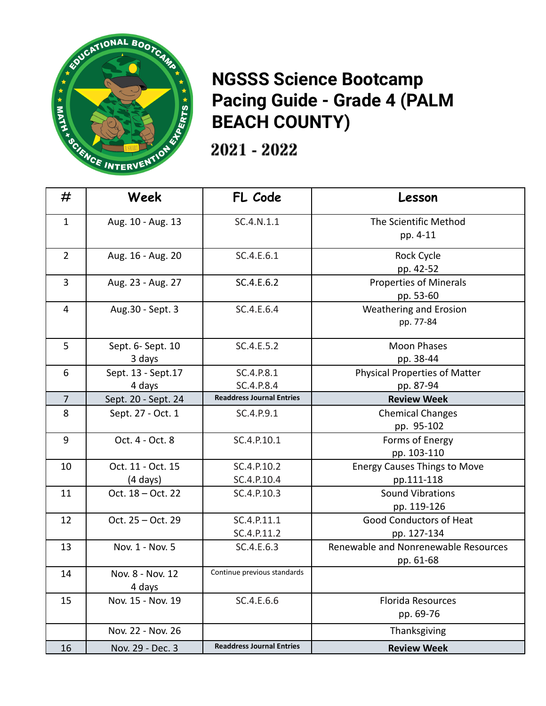

## **NGSSS Science Bootcamp Pacing Guide - Grade 4 (PALM BEACH COUNTY)**

2021 - 2022

| #              | Week                | FL Code                          | Lesson                               |
|----------------|---------------------|----------------------------------|--------------------------------------|
| $\mathbf{1}$   | Aug. 10 - Aug. 13   | SC.4.N.1.1                       | The Scientific Method                |
|                |                     |                                  | pp. 4-11                             |
| $\overline{2}$ | Aug. 16 - Aug. 20   | SC.4.E.6.1                       | Rock Cycle                           |
|                |                     |                                  | pp. 42-52                            |
| 3              | Aug. 23 - Aug. 27   | SC.4.E.6.2                       | <b>Properties of Minerals</b>        |
|                |                     |                                  | pp. 53-60                            |
| $\overline{4}$ | Aug.30 - Sept. 3    | SC.4.E.6.4                       | <b>Weathering and Erosion</b>        |
|                |                     |                                  | pp. 77-84                            |
| 5              | Sept. 6- Sept. 10   | SC.4.E.5.2                       | <b>Moon Phases</b>                   |
|                | 3 days              |                                  | pp. 38-44                            |
| 6              | Sept. 13 - Sept. 17 | SC.4.P.8.1                       | <b>Physical Properties of Matter</b> |
|                | 4 days              | SC.4.P.8.4                       | pp. 87-94                            |
| $\overline{7}$ | Sept. 20 - Sept. 24 | <b>Readdress Journal Entries</b> | <b>Review Week</b>                   |
| 8              | Sept. 27 - Oct. 1   | SC.4.P.9.1                       | <b>Chemical Changes</b>              |
|                |                     |                                  | pp. 95-102                           |
| 9              | Oct. 4 - Oct. 8     | SC.4.P.10.1                      | Forms of Energy                      |
|                |                     |                                  | pp. 103-110                          |
| 10             | Oct. 11 - Oct. 15   | SC.4.P.10.2                      | <b>Energy Causes Things to Move</b>  |
|                | $(4 \text{ days})$  | SC.4.P.10.4                      | pp.111-118                           |
| 11             | Oct. 18 - Oct. 22   | SC.4.P.10.3                      | <b>Sound Vibrations</b>              |
|                |                     |                                  | pp. 119-126                          |
| 12             | Oct. 25 - Oct. 29   | SC.4.P.11.1                      | <b>Good Conductors of Heat</b>       |
|                |                     | SC.4.P.11.2                      | pp. 127-134                          |
| 13             | Nov. 1 - Nov. 5     | SC.4.E.6.3                       | Renewable and Nonrenewable Resources |
|                |                     |                                  | pp. 61-68                            |
| 14             | Nov. 8 - Nov. 12    | Continue previous standards      |                                      |
|                | 4 days              |                                  |                                      |
| 15             | Nov. 15 - Nov. 19   | SC.4.E.6.6                       | <b>Florida Resources</b>             |
|                |                     |                                  | pp. 69-76                            |
|                | Nov. 22 - Nov. 26   |                                  | Thanksgiving                         |
| 16             | Nov. 29 - Dec. 3    | <b>Readdress Journal Entries</b> | <b>Review Week</b>                   |